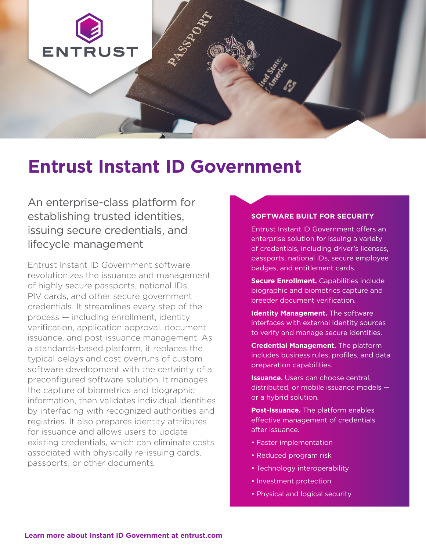

# **Entrust Instant ID Government**

An enterprise-class platform for establishing trusted identities, issuing secure credentials, and lifecycle management

Entrust Instant ID Government software revolutionizes the issuance and management of highly secure passports, national IDs, PIV cards, and other secure government credentials. It streamlines every step of the process — including enrollment, identity verification, application approval, document issuance, and post-issuance management. As a standards-based platform, it replaces the typical delays and cost overruns of custom software development with the certainty of a preconfigured software solution. It manages the capture of biometrics and biographic information, then validates individual identities by interfacing with recognized authorities and registries. It also prepares identity attributes for issuance and allows users to update existing credentials, which can eliminate costs associated with physically re-issuing cards, passports, or other documents.

#### **SOFTWARE BUILT FOR SECURITY**

Entrust Instant ID Government offers an enterprise solution for issuing a variety of credentials, including driver's licenses, passports, national IDs, secure employee badges, and entitlement cards.

- **Secure Enrollment.** Capabilities include biographic and biometrics capture and breeder document verification.
- **Identity Management.** The software interfaces with external identity sources to verify and manage secure identities.
- **Credential Management.** The platform includes business rules, profiles, and data preparation capabilities.
- **Issuance.** Users can choose central. distributed, or mobile issuance models or a hybrid solution.
- **Post-Issuance.** The platform enables effective management of credentials after issuance.
- Faster implementation
- Reduced program risk
- Technology interoperability
- Investment protection
- Physical and logical security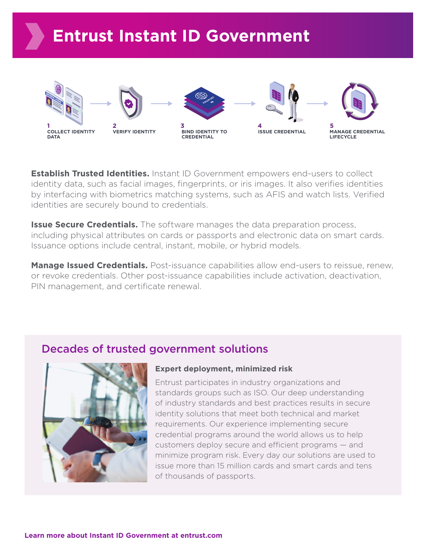

**Establish Trusted Identities.** Instant ID Government empowers end-users to collect identity data, such as facial images, fingerprints, or iris images. It also verifies identities by interfacing with biometrics matching systems, such as AFIS and watch lists. Verified identities are securely bound to credentials.

**Issue Secure Credentials.** The software manages the data preparation process, including physical attributes on cards or passports and electronic data on smart cards. Issuance options include central, instant, mobile, or hybrid models.

**Manage Issued Credentials.** Post-issuance capabilities allow end-users to reissue, renew, or revoke credentials. Other post-issuance capabilities include activation, deactivation, PIN management, and certificate renewal.

## Decades of trusted government solutions



#### **Expert deployment, minimized risk**

Entrust participates in industry organizations and standards groups such as ISO. Our deep understanding of industry standards and best practices results in secure identity solutions that meet both technical and market requirements. Our experience implementing secure credential programs around the world allows us to help customers deploy secure and efficient programs — and minimize program risk. Every day our solutions are used to issue more than 15 million cards and smart cards and tens of thousands of passports.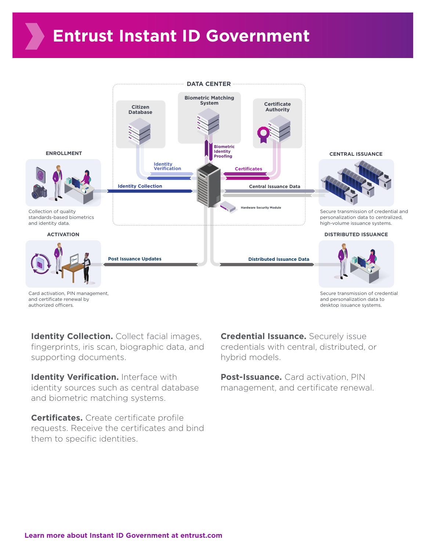# **Entrust Instant ID Government**



authorized officers.

Secure transmission of credential desktop issuance systems.

**Identity Collection.** Collect facial images, fingerprints, iris scan, biographic data, and supporting documents.

**Identity Verification.** Interface with identity sources such as central database and biometric matching systems.

**Certificates.** Create certificate profile requests. Receive the certificates and bind them to specific identities.

**Credential Issuance.** Securely issue credentials with central, distributed, or hybrid models.

**Post-Issuance.** Card activation, PIN management, and certificate renewal.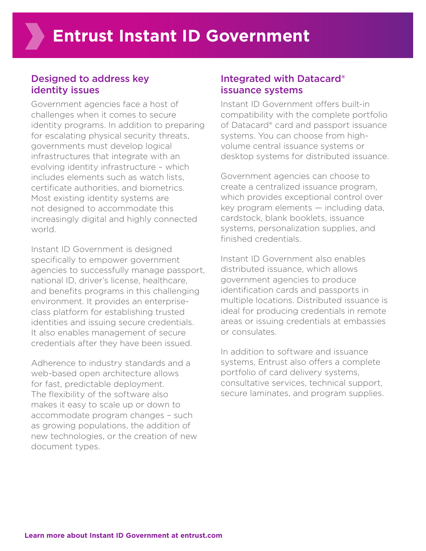### Designed to address key identity issues

Government agencies face a host of challenges when it comes to secure identity programs. In addition to preparing for escalating physical security threats, governments must develop logical infrastructures that integrate with an evolving identity infrastructure – which includes elements such as watch lists certificate authorities, and biometrics. Most existing identity systems are not designed to accommodate this increasingly digital and highly connected world.

Instant ID Government is designed specifically to empower government agencies to successfully manage passport, national ID, driver's license, healthcare, and benefits programs in this challenging environment. It provides an enterpriseclass platform for establishing trusted identities and issuing secure credentials. It also enables management of secure credentials after they have been issued.

Adherence to industry standards and a web-based open architecture allows for fast, predictable deployment. The flexibility of the software also makes it easy to scale up or down to accommodate program changes – such as growing populations, the addition of new technologies, or the creation of new document types.

### Integrated with Datacard® issuance systems

Instant ID Government offers built-in compatibility with the complete portfolio of Datacard® card and passport issuance systems. You can choose from highvolume central issuance systems or desktop systems for distributed issuance.

Government agencies can choose to create a centralized issuance program, which provides exceptional control over key program elements — including data, cardstock, blank booklets, issuance systems, personalization supplies, and finished credentials.

Instant ID Government also enables distributed issuance, which allows government agencies to produce identification cards and passports in multiple locations. Distributed issuance is ideal for producing credentials in remote areas or issuing credentials at embassies or consulates.

In addition to software and issuance systems, Entrust also offers a complete portfolio of card delivery systems, consultative services, technical support, secure laminates, and program supplies.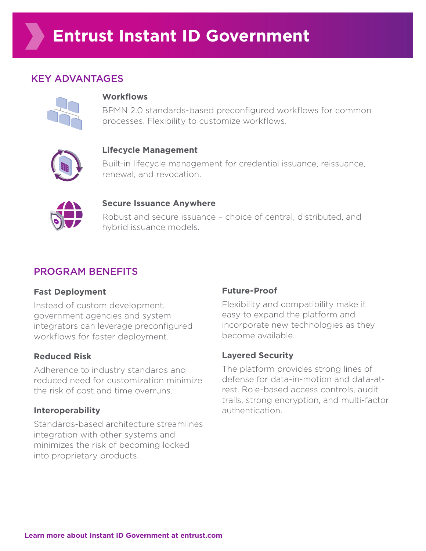## KEY ADVANTAGES



#### **Workflows**

BPMN 2.0 standards-based preconfigured workflows for common processes. Flexibility to customize workflows.



#### **Lifecycle Management**

Built-in lifecycle management for credential issuance, reissuance, renewal, and revocation.



#### **Secure Issuance Anywhere**

Robust and secure issuance – choice of central, distributed, and hybrid issuance models.

## PROGRAM BENEFITS

#### **Fast Deployment**

Instead of custom development, government agencies and system integrators can leverage preconfigured workflows for faster deployment.

#### **Reduced Risk**

Adherence to industry standards and reduced need for customization minimize the risk of cost and time overruns.

#### **Interoperability**

Standards-based architecture streamlines integration with other systems and minimizes the risk of becoming locked into proprietary products.

#### **Future-Proof**

Flexibility and compatibility make it easy to expand the platform and incorporate new technologies as they become available.

#### **Layered Security**

The platform provides strong lines of defense for data-in-motion and data-atrest. Role-based access controls, audit trails, strong encryption, and multi-factor authentication.